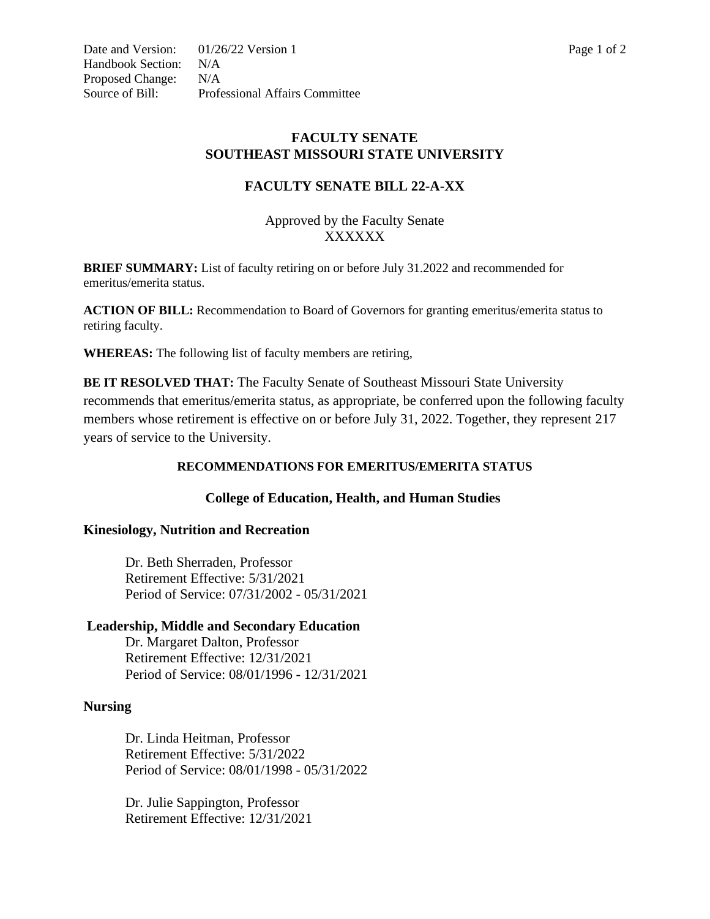# **FACULTY SENATE BILL 22-A-XX**

Approved by the Faculty Senate XXXXXX

**BRIEF SUMMARY:** List of faculty retiring on or before July 31.2022 and recommended for emeritus/emerita status.

**ACTION OF BILL:** Recommendation to Board of Governors for granting emeritus/emerita status to retiring faculty.

**WHEREAS:** The following list of faculty members are retiring,

**BE IT RESOLVED THAT:** The Faculty Senate of Southeast Missouri State University recommends that emeritus/emerita status, as appropriate, be conferred upon the following faculty members whose retirement is effective on or before July 31, 2022. Together, they represent 217 years of service to the University.

## **RECOMMENDATIONS FOR EMERITUS/EMERITA STATUS**

## **College of Education, Health, and Human Studies**

## **Kinesiology, Nutrition and Recreation**

Dr. Beth Sherraden, Professor Retirement Effective: 5/31/2021 Period of Service: 07/31/2002 - 05/31/2021

## **Leadership, Middle and Secondary Education**

Dr. Margaret Dalton, Professor Retirement Effective: 12/31/2021 Period of Service: 08/01/1996 - 12/31/2021

## **Nursing**

Dr. Linda Heitman, Professor Retirement Effective: 5/31/2022 Period of Service: 08/01/1998 - 05/31/2022

Dr. Julie Sappington, Professor Retirement Effective: 12/31/2021